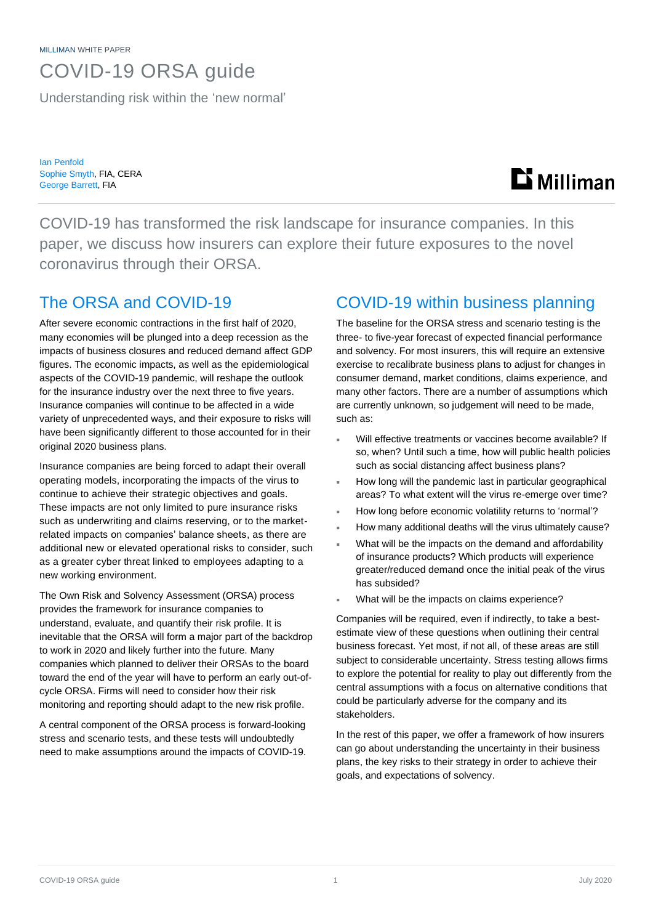MILLIMAN WHITE PAPER

## COVID-19 ORSA guide

Understanding risk within the 'new normal'

Ian Penfold Sophie Smyth, FIA, CERA George Barrett, FIA

# **Li** Milliman

COVID-19 has transformed the risk landscape for insurance companies. In this paper, we discuss how insurers can explore their future exposures to the novel coronavirus through their ORSA.

### The ORSA and COVID-19

After severe economic contractions in the first half of 2020, many economies will be plunged into a deep recession as the impacts of business closures and reduced demand affect GDP figures. The economic impacts, as well as the epidemiological aspects of the COVID-19 pandemic, will reshape the outlook for the insurance industry over the next three to five years. Insurance companies will continue to be affected in a wide variety of unprecedented ways, and their exposure to risks will have been significantly different to those accounted for in their original 2020 business plans.

Insurance companies are being forced to adapt their overall operating models, incorporating the impacts of the virus to continue to achieve their strategic objectives and goals. These impacts are not only limited to pure insurance risks such as underwriting and claims reserving, or to the marketrelated impacts on companies' balance sheets, as there are additional new or elevated operational risks to consider, such as a greater cyber threat linked to employees adapting to a new working environment.

The Own Risk and Solvency Assessment (ORSA) process provides the framework for insurance companies to understand, evaluate, and quantify their risk profile. It is inevitable that the ORSA will form a major part of the backdrop to work in 2020 and likely further into the future. Many companies which planned to deliver their ORSAs to the board toward the end of the year will have to perform an early out-ofcycle ORSA. Firms will need to consider how their risk monitoring and reporting should adapt to the new risk profile.

A central component of the ORSA process is forward-looking stress and scenario tests, and these tests will undoubtedly need to make assumptions around the impacts of COVID-19.

### COVID-19 within business planning

The baseline for the ORSA stress and scenario testing is the three- to five-year forecast of expected financial performance and solvency. For most insurers, this will require an extensive exercise to recalibrate business plans to adjust for changes in consumer demand, market conditions, claims experience, and many other factors. There are a number of assumptions which are currently unknown, so judgement will need to be made, such as:

- Will effective treatments or vaccines become available? If so, when? Until such a time, how will public health policies such as social distancing affect business plans?
- How long will the pandemic last in particular geographical areas? To what extent will the virus re-emerge over time?
- How long before economic volatility returns to 'normal'?
- How many additional deaths will the virus ultimately cause?
- What will be the impacts on the demand and affordability of insurance products? Which products will experience greater/reduced demand once the initial peak of the virus has subsided?
- What will be the impacts on claims experience?

Companies will be required, even if indirectly, to take a bestestimate view of these questions when outlining their central business forecast. Yet most, if not all, of these areas are still subject to considerable uncertainty. Stress testing allows firms to explore the potential for reality to play out differently from the central assumptions with a focus on alternative conditions that could be particularly adverse for the company and its stakeholders.

In the rest of this paper, we offer a framework of how insurers can go about understanding the uncertainty in their business plans, the key risks to their strategy in order to achieve their goals, and expectations of solvency.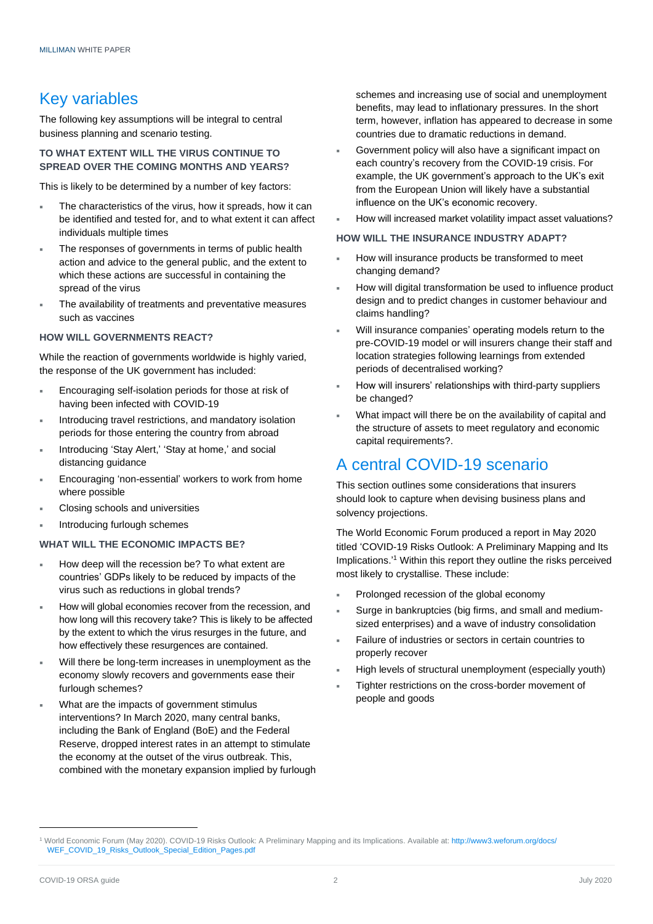### Key variables

The following key assumptions will be integral to central business planning and scenario testing.

### **TO WHAT EXTENT WILL THE VIRUS CONTINUE TO SPREAD OVER THE COMING MONTHS AND YEARS?**

This is likely to be determined by a number of key factors:

- The characteristics of the virus, how it spreads, how it can be identified and tested for, and to what extent it can affect individuals multiple times
- The responses of governments in terms of public health action and advice to the general public, and the extent to which these actions are successful in containing the spread of the virus
- The availability of treatments and preventative measures such as vaccines

#### **HOW WILL GOVERNMENTS REACT?**

While the reaction of governments worldwide is highly varied, the response of the UK government has included:

- Encouraging self-isolation periods for those at risk of having been infected with COVID-19
- Introducing travel restrictions, and mandatory isolation periods for those entering the country from abroad
- Introducing 'Stay Alert,' 'Stay at home,' and social distancing guidance
- Encouraging 'non-essential' workers to work from home where possible
- Closing schools and universities
- Introducing furlough schemes

#### **WHAT WILL THE ECONOMIC IMPACTS BE?**

- How deep will the recession be? To what extent are countries' GDPs likely to be reduced by impacts of the virus such as reductions in global trends?
- How will global economies recover from the recession, and how long will this recovery take? This is likely to be affected by the extent to which the virus resurges in the future, and how effectively these resurgences are contained.
- Will there be long-term increases in unemployment as the economy slowly recovers and governments ease their furlough schemes?
- What are the impacts of government stimulus interventions? In March 2020, many central banks, including the Bank of England (BoE) and the Federal Reserve, dropped interest rates in an attempt to stimulate the economy at the outset of the virus outbreak. This, combined with the monetary expansion implied by furlough

schemes and increasing use of social and unemployment benefits, may lead to inflationary pressures. In the short term, however, inflation has appeared to decrease in some countries due to dramatic reductions in demand.

- Government policy will also have a significant impact on each country's recovery from the COVID-19 crisis. For example, the UK government's approach to the UK's exit from the European Union will likely have a substantial influence on the UK's economic recovery.
- How will increased market volatility impact asset valuations?

### **HOW WILL THE INSURANCE INDUSTRY ADAPT?**

- How will insurance products be transformed to meet changing demand?
- How will digital transformation be used to influence product design and to predict changes in customer behaviour and claims handling?
- Will insurance companies' operating models return to the pre-COVID-19 model or will insurers change their staff and location strategies following learnings from extended periods of decentralised working?
- How will insurers' relationships with third-party suppliers be changed?
- What impact will there be on the availability of capital and the structure of assets to meet regulatory and economic capital requirements?.

### A central COVID-19 scenario

This section outlines some considerations that insurers should look to capture when devising business plans and solvency projections.

The World Economic Forum produced a report in May 2020 titled 'COVID-19 Risks Outlook: A Preliminary Mapping and Its Implications.' <sup>1</sup> Within this report they outline the risks perceived most likely to crystallise. These include:

- Prolonged recession of the global economy
- Surge in bankruptcies (big firms, and small and mediumsized enterprises) and a wave of industry consolidation
- Failure of industries or sectors in certain countries to properly recover
- High levels of structural unemployment (especially youth)
- Tighter restrictions on the cross-border movement of people and goods

<sup>1</sup> World Economic Forum (May 2020). COVID-19 Risks Outlook: A Preliminary Mapping and its Implications. Available at: [http://www3.weforum.org/docs/](http://www3.weforum.org/docs/%0bWEF_COVID_19_Risks_Outlook_Special_Edition_Pages.pdf) [WEF\\_COVID\\_19\\_Risks\\_Outlook\\_Special\\_Edition\\_Pages.pdf](http://www3.weforum.org/docs/%0bWEF_COVID_19_Risks_Outlook_Special_Edition_Pages.pdf)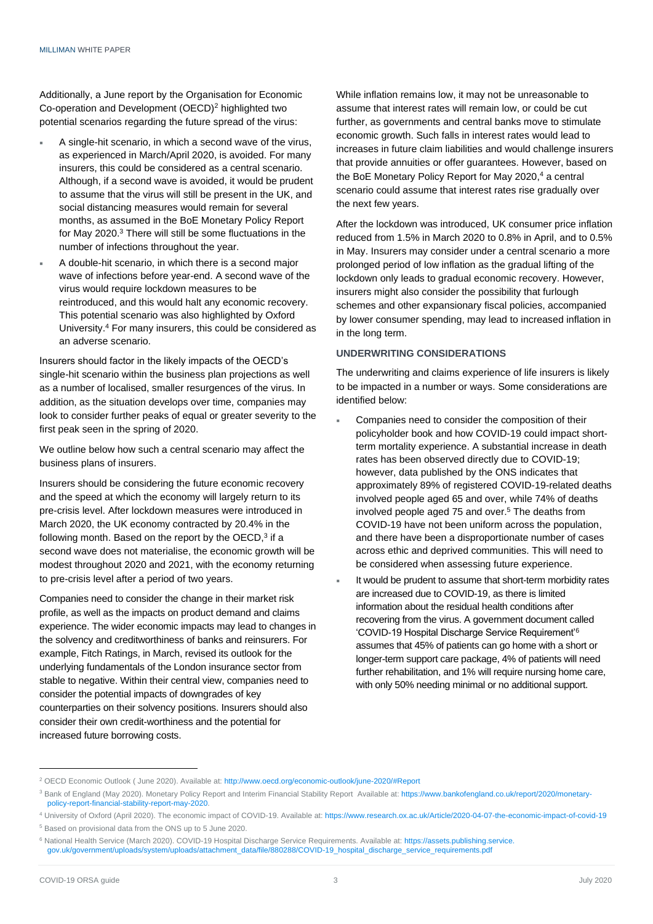Additionally, a June report by the Organisation for Economic Co-operation and Development (OECD)<sup>2</sup> highlighted two potential scenarios regarding the future spread of the virus:

- A single-hit scenario, in which a second wave of the virus, as experienced in March/April 2020, is avoided. For many insurers, this could be considered as a central scenario. Although, if a second wave is avoided, it would be prudent to assume that the virus will still be present in the UK, and social distancing measures would remain for several months, as assumed in the BoE Monetary Policy Report for May 2020. <sup>3</sup> There will still be some fluctuations in the number of infections throughout the year.
- A double-hit scenario, in which there is a second major wave of infections before year-end. A second wave of the virus would require lockdown measures to be reintroduced, and this would halt any economic recovery. This potential scenario was also highlighted by Oxford University. <sup>4</sup> For many insurers, this could be considered as an adverse scenario.

Insurers should factor in the likely impacts of the OECD's single-hit scenario within the business plan projections as well as a number of localised, smaller resurgences of the virus. In addition, as the situation develops over time, companies may look to consider further peaks of equal or greater severity to the first peak seen in the spring of 2020.

We outline below how such a central scenario may affect the business plans of insurers.

Insurers should be considering the future economic recovery and the speed at which the economy will largely return to its pre-crisis level. After lockdown measures were introduced in March 2020, the UK economy contracted by 20.4% in the following month. Based on the report by the OECD,<sup>3</sup> if a second wave does not materialise, the economic growth will be modest throughout 2020 and 2021, with the economy returning to pre-crisis level after a period of two years.

Companies need to consider the change in their market risk profile, as well as the impacts on product demand and claims experience. The wider economic impacts may lead to changes in the solvency and creditworthiness of banks and reinsurers. For example, Fitch Ratings, in March, revised its outlook for the underlying fundamentals of the London insurance sector from stable to negative. Within their central view, companies need to consider the potential impacts of downgrades of key counterparties on their solvency positions. Insurers should also consider their own credit-worthiness and the potential for increased future borrowing costs.

While inflation remains low, it may not be unreasonable to assume that interest rates will remain low, or could be cut further, as governments and central banks move to stimulate economic growth. Such falls in interest rates would lead to increases in future claim liabilities and would challenge insurers that provide annuities or offer guarantees. However, based on the BoE Monetary Policy Report for May 2020, <sup>4</sup> a central scenario could assume that interest rates rise gradually over the next few years.

After the lockdown was introduced, UK consumer price inflation reduced from 1.5% in March 2020 to 0.8% in April, and to 0.5% in May. Insurers may consider under a central scenario a more prolonged period of low inflation as the gradual lifting of the lockdown only leads to gradual economic recovery. However, insurers might also consider the possibility that furlough schemes and other expansionary fiscal policies, accompanied by lower consumer spending, may lead to increased inflation in in the long term.

#### **UNDERWRITING CONSIDERATIONS**

The underwriting and claims experience of life insurers is likely to be impacted in a number or ways. Some considerations are identified below:

- Companies need to consider the composition of their policyholder book and how COVID-19 could impact shortterm mortality experience. A substantial increase in death rates has been observed directly due to COVID-19; however, data published by the ONS indicates that approximately 89% of registered COVID-19-related deaths involved people aged 65 and over, while 74% of deaths involved people aged 75 and over.<sup>5</sup> The deaths from COVID-19 have not been uniform across the population, and there have been a disproportionate number of cases across ethic and deprived communities. This will need to be considered when assessing future experience.
- It would be prudent to assume that short-term morbidity rates are increased due to COVID-19, as there is limited information about the residual health conditions after recovering from the virus. A government document called 'COVID-19 Hospital Discharge Service Requirement'<sup>6</sup> assumes that 45% of patients can go home with a short or longer-term support care package, 4% of patients will need further rehabilitation, and 1% will require nursing home care, with only 50% needing minimal or no additional support.

<sup>2</sup> OECD Economic Outlook ( June 2020). Available at: <http://www.oecd.org/economic-outlook/june-2020/#Report>

<sup>&</sup>lt;sup>3</sup> Bank of England (May 2020). Monetary Policy Report and Interim Financial Stability Report Available at: [https://www.bankofengland.co.uk/report/2020/monetary](https://www.bankofengland.co.uk/report/2020/monetary-policy-report-financial-stability-report-may-2020.)[policy-report-financial-stability-report-may-2020.](https://www.bankofengland.co.uk/report/2020/monetary-policy-report-financial-stability-report-may-2020.)

<sup>4</sup> University of Oxford (April 2020). The economic impact of COVID-19. Available at: <https://www.research.ox.ac.uk/Article/2020-04-07-the-economic-impact-of-covid-19>

<sup>5</sup> Based on provisional data from the ONS up to 5 June 2020.

<sup>6</sup> National Health Service (March 2020). COVID-19 Hospital Discharge Service Requirements. Available at: https://assets.publishing.service. gov.uk/government/uploads/system/uploads/attachment\_data/file/880288/COVID-19\_hospital\_discharge\_service\_requirements.pdf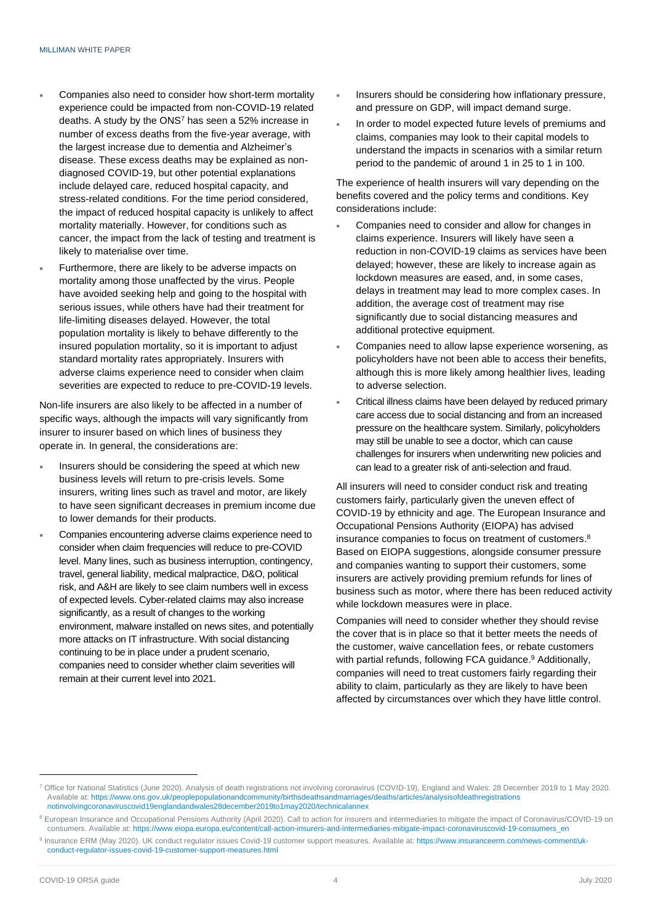- Companies also need to consider how short-term mortality experience could be impacted from non-COVID-19 related deaths. A study by the ONS<sup>7</sup> has seen a 52% increase in number of excess deaths from the five-year average, with the largest increase due to dementia and Alzheimer's disease. These excess deaths may be explained as nondiagnosed COVID-19, but other potential explanations include delayed care, reduced hospital capacity, and stress-related conditions. For the time period considered, the impact of reduced hospital capacity is unlikely to affect mortality materially. However, for conditions such as cancer, the impact from the lack of testing and treatment is likely to materialise over time.
- Furthermore, there are likely to be adverse impacts on mortality among those unaffected by the virus. People have avoided seeking help and going to the hospital with serious issues, while others have had their treatment for life-limiting diseases delayed. However, the total population mortality is likely to behave differently to the insured population mortality, so it is important to adjust standard mortality rates appropriately. Insurers with adverse claims experience need to consider when claim severities are expected to reduce to pre-COVID-19 levels.

Non-life insurers are also likely to be affected in a number of specific ways, although the impacts will vary significantly from insurer to insurer based on which lines of business they operate in. In general, the considerations are:

- Insurers should be considering the speed at which new business levels will return to pre-crisis levels. Some insurers, writing lines such as travel and motor, are likely to have seen significant decreases in premium income due to lower demands for their products.
- Companies encountering adverse claims experience need to consider when claim frequencies will reduce to pre-COVID level. Many lines, such as business interruption, contingency, travel, general liability, medical malpractice, D&O, political risk, and A&H are likely to see claim numbers well in excess of expected levels. Cyber-related claims may also increase significantly, as a result of changes to the working environment, malware installed on news sites, and potentially more attacks on IT infrastructure. With social distancing continuing to be in place under a prudent scenario, companies need to consider whether claim severities will remain at their current level into 2021.
- Insurers should be considering how inflationary pressure, and pressure on GDP, will impact demand surge.
- In order to model expected future levels of premiums and claims, companies may look to their capital models to understand the impacts in scenarios with a similar return period to the pandemic of around 1 in 25 to 1 in 100.

The experience of health insurers will vary depending on the benefits covered and the policy terms and conditions. Key considerations include:

- Companies need to consider and allow for changes in claims experience. Insurers will likely have seen a reduction in non-COVID-19 claims as services have been delayed; however, these are likely to increase again as lockdown measures are eased, and, in some cases, delays in treatment may lead to more complex cases. In addition, the average cost of treatment may rise significantly due to social distancing measures and additional protective equipment.
- Companies need to allow lapse experience worsening, as policyholders have not been able to access their benefits, although this is more likely among healthier lives, leading to adverse selection.
- Critical illness claims have been delayed by reduced primary care access due to social distancing and from an increased pressure on the healthcare system. Similarly, policyholders may still be unable to see a doctor, which can cause challenges for insurers when underwriting new policies and can lead to a greater risk of anti-selection and fraud.

All insurers will need to consider conduct risk and treating customers fairly, particularly given the uneven effect of COVID-19 by ethnicity and age. The European Insurance and Occupational Pensions Authority (EIOPA) has advised insurance companies to focus on treatment of customers.<sup>8</sup> Based on EIOPA suggestions, alongside consumer pressure and companies wanting to support their customers, some insurers are actively providing premium refunds for lines of business such as motor, where there has been reduced activity while lockdown measures were in place.

Companies will need to consider whether they should revise the cover that is in place so that it better meets the needs of the customer, waive cancellation fees, or rebate customers with partial refunds, following FCA guidance.<sup>9</sup> Additionally, companies will need to treat customers fairly regarding their ability to claim, particularly as they are likely to have been affected by circumstances over which they have little control.

<sup>7</sup> Office for National Statistics (June 2020). Analysis of death registrations not involving coronavirus (COVID-19), England and Wales: 28 December 2019 to 1 May 2020. Available at: [https://www.ons.gov.uk/peoplepopulationandcommunity/birthsdeathsandmarriages/deaths/articles/analysisofdeathregistrations](https://www.ons.gov.uk/peoplepopulationandcommunity/birthsdeathsandmarriages/deaths/articles/analysisofdeathregistrations%0bnotinvolvingcoronaviruscovid19englandandwales28december2019to1may2020/technicalannex) [notinvolvingcoronaviruscovid19englandandwales28december2019to1may2020/technicalannex](https://www.ons.gov.uk/peoplepopulationandcommunity/birthsdeathsandmarriages/deaths/articles/analysisofdeathregistrations%0bnotinvolvingcoronaviruscovid19englandandwales28december2019to1may2020/technicalannex)

<sup>&</sup>lt;sup>8</sup> European Insurance and Occupational Pensions Authority (April 2020). Call to action for insurers and intermediaries to mitigate the impact of Coronavirus/COVID-19 on consumers. Available at[: https://www.eiopa.europa.eu/content/call-action-insurers-and-intermediaries-mitigate-impact-coronaviruscovid-19-consumers\\_en](https://www.eiopa.europa.eu/content/call-action-insurers-and-intermediaries-mitigate-impact-coronaviruscovid-19-consumers_en)

<sup>9</sup> Insurance ERM (May 2020). UK conduct regulator issues Covid-19 customer support measures. Available at[: https://www.insuranceerm.com/news-comment/uk](https://www.insuranceerm.com/news-comment/uk-conduct-regulator-issues-covid-19-customer-support-measures.html)[conduct-regulator-issues-covid-19-customer-support-measures.html](https://www.insuranceerm.com/news-comment/uk-conduct-regulator-issues-covid-19-customer-support-measures.html)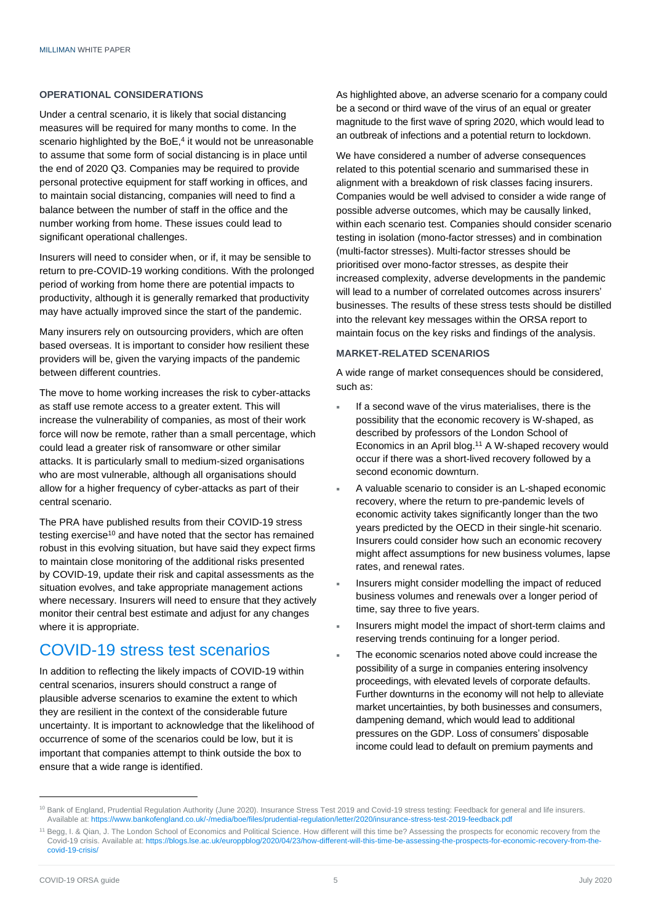#### **OPERATIONAL CONSIDERATIONS**

Under a central scenario, it is likely that social distancing measures will be required for many months to come. In the scenario highlighted by the BoE,<sup>4</sup> it would not be unreasonable to assume that some form of social distancing is in place until the end of 2020 Q3. Companies may be required to provide personal protective equipment for staff working in offices, and to maintain social distancing, companies will need to find a balance between the number of staff in the office and the number working from home. These issues could lead to significant operational challenges.

Insurers will need to consider when, or if, it may be sensible to return to pre-COVID-19 working conditions. With the prolonged period of working from home there are potential impacts to productivity, although it is generally remarked that productivity may have actually improved since the start of the pandemic.

Many insurers rely on outsourcing providers, which are often based overseas. It is important to consider how resilient these providers will be, given the varying impacts of the pandemic between different countries.

The move to home working increases the risk to cyber-attacks as staff use remote access to a greater extent. This will increase the vulnerability of companies, as most of their work force will now be remote, rather than a small percentage, which could lead a greater risk of ransomware or other similar attacks. It is particularly small to medium-sized organisations who are most vulnerable, although all organisations should allow for a higher frequency of cyber-attacks as part of their central scenario.

The PRA have published results from their COVID-19 stress testing exercise<sup>10</sup> and have noted that the sector has remained robust in this evolving situation, but have said they expect firms to maintain close monitoring of the additional risks presented by COVID-19, update their risk and capital assessments as the situation evolves, and take appropriate management actions where necessary. Insurers will need to ensure that they actively monitor their central best estimate and adjust for any changes where it is appropriate.

### COVID-19 stress test scenarios

In addition to reflecting the likely impacts of COVID-19 within central scenarios, insurers should construct a range of plausible adverse scenarios to examine the extent to which they are resilient in the context of the considerable future uncertainty. It is important to acknowledge that the likelihood of occurrence of some of the scenarios could be low, but it is important that companies attempt to think outside the box to ensure that a wide range is identified.

As highlighted above, an adverse scenario for a company could be a second or third wave of the virus of an equal or greater magnitude to the first wave of spring 2020, which would lead to an outbreak of infections and a potential return to lockdown.

We have considered a number of adverse consequences related to this potential scenario and summarised these in alignment with a breakdown of risk classes facing insurers. Companies would be well advised to consider a wide range of possible adverse outcomes, which may be causally linked, within each scenario test. Companies should consider scenario testing in isolation (mono-factor stresses) and in combination (multi-factor stresses). Multi-factor stresses should be prioritised over mono-factor stresses, as despite their increased complexity, adverse developments in the pandemic will lead to a number of correlated outcomes across insurers' businesses. The results of these stress tests should be distilled into the relevant key messages within the ORSA report to maintain focus on the key risks and findings of the analysis.

### **MARKET-RELATED SCENARIOS**

A wide range of market consequences should be considered, such as:

- If a second wave of the virus materialises, there is the possibility that the economic recovery is W-shaped, as described by professors of the London School of Economics in an April blog. <sup>11</sup> A W-shaped recovery would occur if there was a short-lived recovery followed by a second economic downturn.
- A valuable scenario to consider is an L-shaped economic recovery, where the return to pre-pandemic levels of economic activity takes significantly longer than the two years predicted by the OECD in their single-hit scenario. Insurers could consider how such an economic recovery might affect assumptions for new business volumes, lapse rates, and renewal rates.
- Insurers might consider modelling the impact of reduced business volumes and renewals over a longer period of time, say three to five years.
- Insurers might model the impact of short-term claims and reserving trends continuing for a longer period.
- The economic scenarios noted above could increase the possibility of a surge in companies entering insolvency proceedings, with elevated levels of corporate defaults. Further downturns in the economy will not help to alleviate market uncertainties, by both businesses and consumers, dampening demand, which would lead to additional pressures on the GDP. Loss of consumers' disposable income could lead to default on premium payments and

<sup>&</sup>lt;sup>10</sup> Bank of England, Prudential Regulation Authority (June 2020). Insurance Stress Test 2019 and Covid-19 stress testing: Feedback for general and life insurers. Available at[: https://www.bankofengland.co.uk/-/media/boe/files/prudential-regulation/letter/2020/insurance-stress-test-2019-feedback.pdf](https://www.bankofengland.co.uk/-/media/boe/files/prudential-regulation/letter/2020/insurance-stress-test-2019-feedback.pdf)

<sup>&</sup>lt;sup>11</sup> Begg, I. & Qian, J. The London School of Economics and Political Science. How different will this time be? Assessing the prospects for economic recovery from the Covid-19 crisis. Available at[: https://blogs.lse.ac.uk/europpblog/2020/04/23/how-different-will-this-time-be-assessing-the-prospects-for-economic-recovery-from-the](https://blogs.lse.ac.uk/europpblog/2020/04/23/how-different-will-this-time-be-assessing-the-prospects-for-economic-recovery-from-the-covid-19-crisis/)[covid-19-crisis/](https://blogs.lse.ac.uk/europpblog/2020/04/23/how-different-will-this-time-be-assessing-the-prospects-for-economic-recovery-from-the-covid-19-crisis/)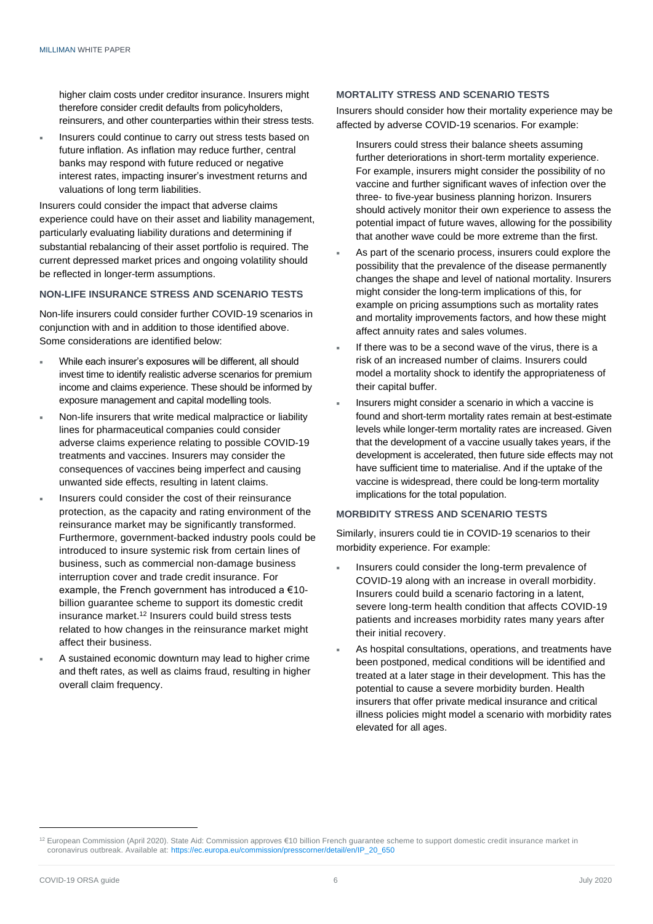higher claim costs under creditor insurance. Insurers might therefore consider credit defaults from policyholders, reinsurers, and other counterparties within their stress tests.

 Insurers could continue to carry out stress tests based on future inflation. As inflation may reduce further, central banks may respond with future reduced or negative interest rates, impacting insurer's investment returns and valuations of long term liabilities.

Insurers could consider the impact that adverse claims experience could have on their asset and liability management, particularly evaluating liability durations and determining if substantial rebalancing of their asset portfolio is required. The current depressed market prices and ongoing volatility should be reflected in longer-term assumptions.

#### **NON-LIFE INSURANCE STRESS AND SCENARIO TESTS**

Non-life insurers could consider further COVID-19 scenarios in conjunction with and in addition to those identified above. Some considerations are identified below:

- While each insurer's exposures will be different, all should invest time to identify realistic adverse scenarios for premium income and claims experience. These should be informed by exposure management and capital modelling tools.
- Non-life insurers that write medical malpractice or liability lines for pharmaceutical companies could consider adverse claims experience relating to possible COVID-19 treatments and vaccines. Insurers may consider the consequences of vaccines being imperfect and causing unwanted side effects, resulting in latent claims.
- Insurers could consider the cost of their reinsurance protection, as the capacity and rating environment of the reinsurance market may be significantly transformed. Furthermore, government-backed industry pools could be introduced to insure systemic risk from certain lines of business, such as commercial non-damage business interruption cover and trade credit insurance. For example, the French government has introduced a €10 billion guarantee scheme to support its domestic credit insurance market. <sup>12</sup> Insurers could build stress tests related to how changes in the reinsurance market might affect their business.
- A sustained economic downturn may lead to higher crime and theft rates, as well as claims fraud, resulting in higher overall claim frequency.

#### **MORTALITY STRESS AND SCENARIO TESTS**

Insurers should consider how their mortality experience may be affected by adverse COVID-19 scenarios. For example:

- Insurers could stress their balance sheets assuming further deteriorations in short-term mortality experience. For example, insurers might consider the possibility of no vaccine and further significant waves of infection over the three- to five-year business planning horizon. Insurers should actively monitor their own experience to assess the potential impact of future waves, allowing for the possibility that another wave could be more extreme than the first.
- As part of the scenario process, insurers could explore the possibility that the prevalence of the disease permanently changes the shape and level of national mortality. Insurers might consider the long-term implications of this, for example on pricing assumptions such as mortality rates and mortality improvements factors, and how these might affect annuity rates and sales volumes.
- If there was to be a second wave of the virus, there is a risk of an increased number of claims. Insurers could model a mortality shock to identify the appropriateness of their capital buffer.
- Insurers might consider a scenario in which a vaccine is found and short-term mortality rates remain at best-estimate levels while longer-term mortality rates are increased. Given that the development of a vaccine usually takes years, if the development is accelerated, then future side effects may not have sufficient time to materialise. And if the uptake of the vaccine is widespread, there could be long-term mortality implications for the total population.

### **MORBIDITY STRESS AND SCENARIO TESTS**

Similarly, insurers could tie in COVID-19 scenarios to their morbidity experience. For example:

- Insurers could consider the long-term prevalence of COVID-19 along with an increase in overall morbidity. Insurers could build a scenario factoring in a latent, severe long-term health condition that affects COVID-19 patients and increases morbidity rates many years after their initial recovery.
- As hospital consultations, operations, and treatments have been postponed, medical conditions will be identified and treated at a later stage in their development. This has the potential to cause a severe morbidity burden. Health insurers that offer private medical insurance and critical illness policies might model a scenario with morbidity rates elevated for all ages.

<sup>12</sup> European Commission (April 2020). State Aid: Commission approves €10 billion French guarantee scheme to support domestic credit insurance market in coronavirus outbreak. Available at: [https://ec.europa.eu/commission/presscorner/detail/en/IP\\_20\\_650](https://ec.europa.eu/commission/presscorner/detail/en/IP_20_650)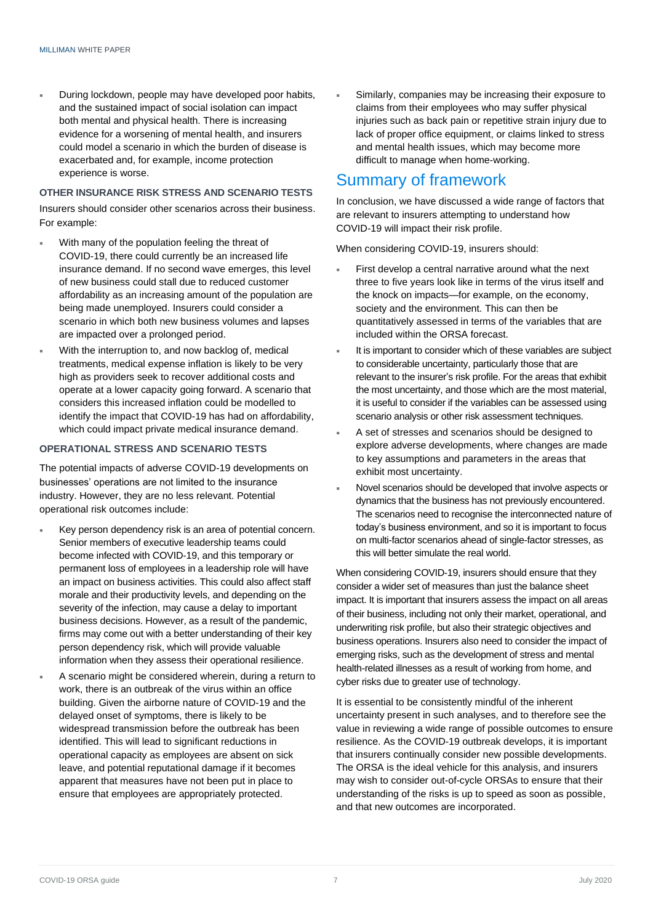During lockdown, people may have developed poor habits, and the sustained impact of social isolation can impact both mental and physical health. There is increasing evidence for a worsening of mental health, and insurers could model a scenario in which the burden of disease is exacerbated and, for example, income protection experience is worse.

### **OTHER INSURANCE RISK STRESS AND SCENARIO TESTS**

Insurers should consider other scenarios across their business. For example:

- With many of the population feeling the threat of COVID-19, there could currently be an increased life insurance demand. If no second wave emerges, this level of new business could stall due to reduced customer affordability as an increasing amount of the population are being made unemployed. Insurers could consider a scenario in which both new business volumes and lapses are impacted over a prolonged period.
- With the interruption to, and now backlog of, medical treatments, medical expense inflation is likely to be very high as providers seek to recover additional costs and operate at a lower capacity going forward. A scenario that considers this increased inflation could be modelled to identify the impact that COVID-19 has had on affordability, which could impact private medical insurance demand.

### **OPERATIONAL STRESS AND SCENARIO TESTS**

The potential impacts of adverse COVID-19 developments on businesses' operations are not limited to the insurance industry. However, they are no less relevant. Potential operational risk outcomes include:

- Key person dependency risk is an area of potential concern. Senior members of executive leadership teams could become infected with COVID-19, and this temporary or permanent loss of employees in a leadership role will have an impact on business activities. This could also affect staff morale and their productivity levels, and depending on the severity of the infection, may cause a delay to important business decisions. However, as a result of the pandemic, firms may come out with a better understanding of their key person dependency risk, which will provide valuable information when they assess their operational resilience.
- A scenario might be considered wherein, during a return to work, there is an outbreak of the virus within an office building. Given the airborne nature of COVID-19 and the delayed onset of symptoms, there is likely to be widespread transmission before the outbreak has been identified. This will lead to significant reductions in operational capacity as employees are absent on sick leave, and potential reputational damage if it becomes apparent that measures have not been put in place to ensure that employees are appropriately protected.

 Similarly, companies may be increasing their exposure to claims from their employees who may suffer physical injuries such as back pain or repetitive strain injury due to lack of proper office equipment, or claims linked to stress and mental health issues, which may become more difficult to manage when home-working.

### Summary of framework

In conclusion, we have discussed a wide range of factors that are relevant to insurers attempting to understand how COVID-19 will impact their risk profile.

When considering COVID-19, insurers should:

- First develop a central narrative around what the next three to five years look like in terms of the virus itself and the knock on impacts—for example, on the economy, society and the environment. This can then be quantitatively assessed in terms of the variables that are included within the ORSA forecast.
- It is important to consider which of these variables are subject to considerable uncertainty, particularly those that are relevant to the insurer's risk profile. For the areas that exhibit the most uncertainty, and those which are the most material, it is useful to consider if the variables can be assessed using scenario analysis or other risk assessment techniques.
- A set of stresses and scenarios should be designed to explore adverse developments, where changes are made to key assumptions and parameters in the areas that exhibit most uncertainty.
- Novel scenarios should be developed that involve aspects or dynamics that the business has not previously encountered. The scenarios need to recognise the interconnected nature of today's business environment, and so it is important to focus on multi-factor scenarios ahead of single-factor stresses, as this will better simulate the real world.

When considering COVID-19, insurers should ensure that they consider a wider set of measures than just the balance sheet impact. It is important that insurers assess the impact on all areas of their business, including not only their market, operational, and underwriting risk profile, but also their strategic objectives and business operations. Insurers also need to consider the impact of emerging risks, such as the development of stress and mental health-related illnesses as a result of working from home, and cyber risks due to greater use of technology.

It is essential to be consistently mindful of the inherent uncertainty present in such analyses, and to therefore see the value in reviewing a wide range of possible outcomes to ensure resilience. As the COVID-19 outbreak develops, it is important that insurers continually consider new possible developments. The ORSA is the ideal vehicle for this analysis, and insurers may wish to consider out-of-cycle ORSAs to ensure that their understanding of the risks is up to speed as soon as possible, and that new outcomes are incorporated.